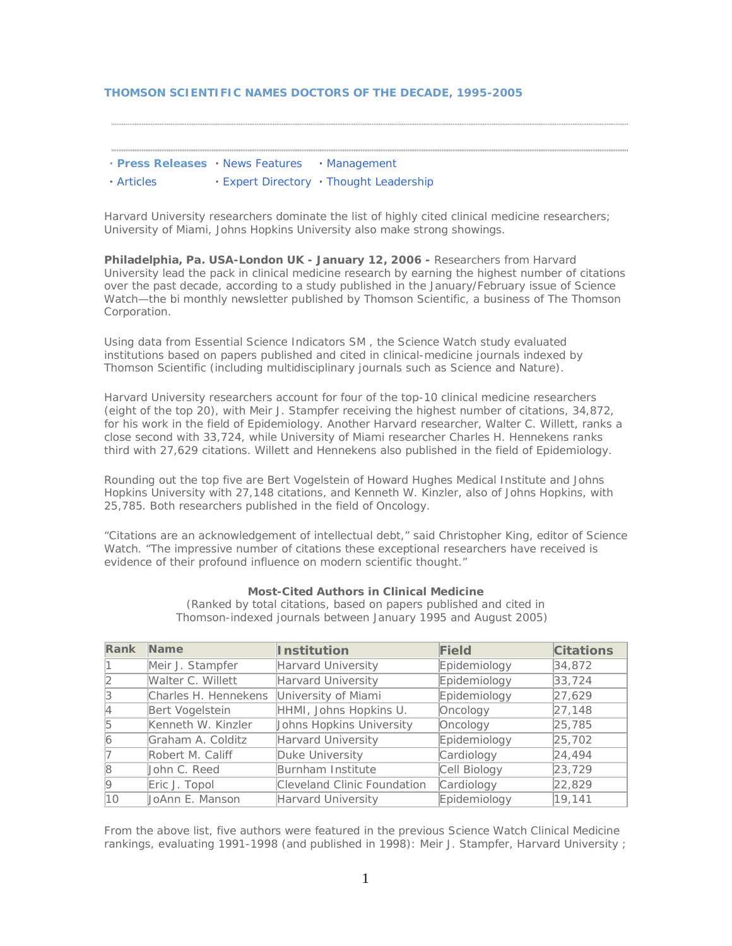### **THOMSON SCIENTIFIC NAMES DOCTORS OF THE DECADE, 1995-2005**

- **· [Press Releases](http://scientific.thomson.com/ts/press/releases) ·** [News Features](http://scientific.thomson.com/ts/press/features) **·** [Management](http://scientific.thomson.com/ts/press/management)
- **·** [Articles](http://scientific.thomson.com/ts/press/articles) **·** [Expert Directory](http://scientific.thomson.com/ts/press/experts) **·** [Thought Leadership](http://scientific.thomson.com/ts/press/insight)

*Harvard University researchers dominate the list of highly cited clinical medicine researchers; University of Miami, Johns Hopkins University also make strong showings.* 

**Philadelphia, Pa. USA-London UK - January 12, 2006 -** Researchers from Harvard University lead the pack in clinical medicine research by earning the highest number of citations over the past decade, according to a study published in the January/February issue of *Science Watch*—the bi monthly newsletter published by Thomson Scientific, a business of The Thomson Corporation.

Using data from *Essential Science Indicators* SM , the *Science Watch* study evaluated institutions based on papers published and cited in clinical-medicine journals indexed by Thomson Scientific (including multidisciplinary journals such as *Science* and *Nature*).

Harvard University researchers account for four of the top-10 clinical medicine researchers (eight of the top 20), with Meir J. Stampfer receiving the highest number of citations, 34,872, for his work in the field of Epidemiology. Another Harvard researcher, Walter C. Willett, ranks a close second with 33,724, while University of Miami researcher Charles H. Hennekens ranks third with 27,629 citations. Willett and Hennekens also published in the field of Epidemiology.

Rounding out the top five are Bert Vogelstein of Howard Hughes Medical Institute and Johns Hopkins University with 27,148 citations, and Kenneth W. Kinzler, also of Johns Hopkins, with 25,785. Both researchers published in the field of Oncology.

"Citations are an acknowledgement of intellectual debt," said Christopher King, editor of *Science Watch.* "The impressive number of citations these exceptional researchers have received is evidence of their profound influence on modern scientific thought."

#### **Most-Cited Authors in Clinical Medicine**

*(Ranked by total citations, based on papers published and cited in Thomson-indexed journals between January 1995 and August 2005)* 

| Rank           | Name                 | <b>Institution</b>          | Field        | <b>Citations</b> |
|----------------|----------------------|-----------------------------|--------------|------------------|
|                | Meir J. Stampfer     | Harvard University          | Epidemiology | 34,872           |
|                | Walter C. Willett    | Harvard University          | Epidemiology | 33,724           |
| 13             | Charles H. Hennekens | University of Miami         | Epidemiology | [27, 629]        |
| 4              | Bert Vogelstein      | HHMI, Johns Hopkins U.      | Oncology     | 27,148           |
| 15             | Kenneth W. Kinzler   | Johns Hopkins University    | Oncology     | 25,785           |
| $\overline{6}$ | Graham A. Colditz    | Harvard University          | Epidemiology | 25,702           |
|                | Robert M. Califf     | Duke University             | Cardiology   | 24,494           |
| $\mathcal{B}$  | John C. Reed         | Burnham Institute           | Cell Biology | [23, 729]        |
| $ 9\rangle$    | Eric J. Topol        | Cleveland Clinic Foundation | Cardiology   | [22, 829]        |
| 10             | UoAnn E. Manson      | Harvard University          | Epidemiology | 19,141           |

From the above list, five authors were featured in the previous *Science Watch* Clinical Medicine rankings, evaluating 1991-1998 (and published in 1998): Meir J. Stampfer, Harvard University ;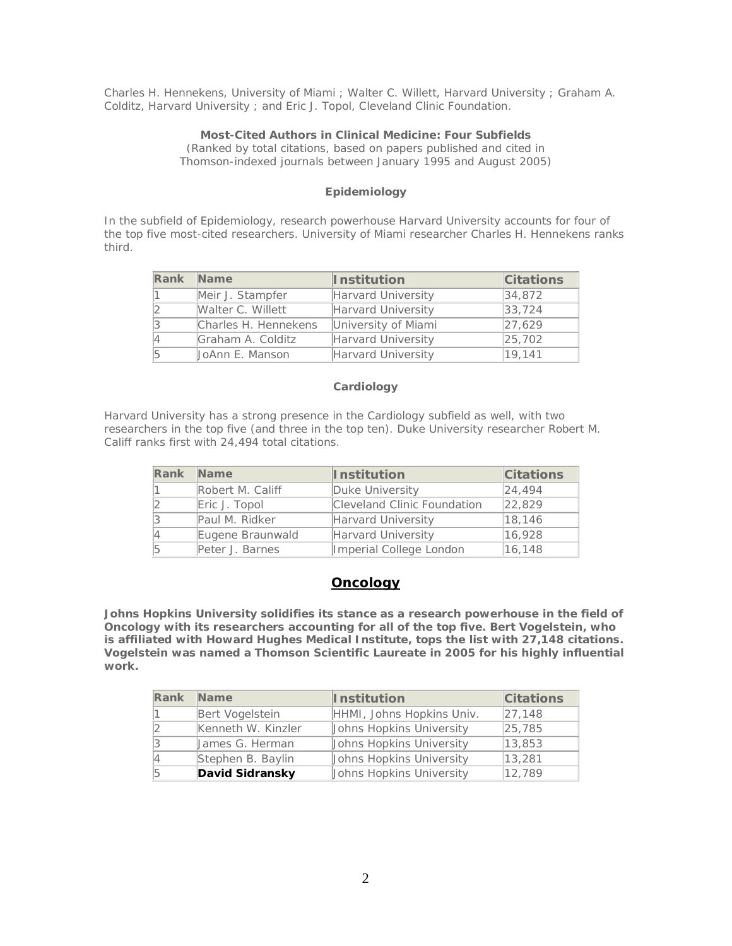Charles H. Hennekens, University of Miami ; Walter C. Willett, Harvard University ; Graham A. Colditz, Harvard University ; and Eric J. Topol, Cleveland Clinic Foundation.

## **Most-Cited Authors in Clinical Medicine: Four Subfields**

*(Ranked by total citations, based on papers published and cited in Thomson-indexed journals between January 1995 and August 2005)*

# **Epidemiology**

In the subfield of Epidemiology, research powerhouse Harvard University accounts for four of the top five most-cited researchers. University of Miami researcher Charles H. Hennekens ranks third.

| Rank | Name                 | <b>Institution</b>  | <b>Citations</b> |
|------|----------------------|---------------------|------------------|
|      | Meir J. Stampfer     | Harvard University  | $ 34,872\rangle$ |
|      | Walter C. Willett    | Harvard University  | 33,724           |
|      | Charles H. Hennekens | University of Miami | 27,629           |
|      | Graham A. Colditz    | Harvard University  | [25, 702]        |
|      | UoAnn E. Manson      | Harvard University  | 19,141           |

### **Cardiology**

Harvard University has a strong presence in the Cardiology subfield as well, with two researchers in the top five (and three in the top ten). Duke University researcher Robert M. Califf ranks first with 24,494 total citations.

|           | Rank Name        | <b>Institution</b>          | <b>Citations</b> |
|-----------|------------------|-----------------------------|------------------|
|           | Robert M. Califf | Duke University             | [24.494]         |
|           | Eric J. Topol    | Cleveland Clinic Foundation | 22,829           |
| 3         | Paul M. Ridker   | Harvard University          | 18,146           |
| $\vert 4$ | Eugene Braunwald | Harvard University          | 16,928           |
| 5         | Peter J. Barnes  | Imperial College London     | 16, 148          |

# **Oncology**

**Johns Hopkins University solidifies its stance as a research powerhouse in the field of Oncology with its researchers accounting for all of the top five. Bert Vogelstein, who is affiliated with Howard Hughes Medical Institute, tops the list with 27,148 citations. Vogelstein was named a Thomson Scientific Laureate in 2005 for his highly influential work.**

| Rank | <b>Name</b>        | <b>Institution</b>        | <b>Citations</b> |
|------|--------------------|---------------------------|------------------|
|      | Bert Vogelstein    | HHMI, Johns Hopkins Univ. | [27, 148]        |
|      | Kenneth W. Kinzler | Johns Hopkins University  | 25,785           |
|      | James G. Herman    | Johns Hopkins University  | 13,853           |
|      | Stephen B. Baylin  | Johns Hopkins University  | 13,281           |
|      | David Sidransky    | Johns Hopkins University  | 12,789           |